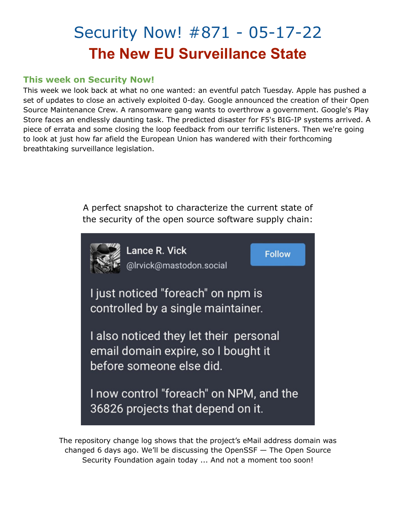# Security Now! #871 - 05-17-22 **The New EU Surveillance State**

#### **This week on Security Now!**

This week we look back at what no one wanted: an eventful patch Tuesday. Apple has pushed a set of updates to close an actively exploited 0-day. Google announced the creation of their Open Source Maintenance Crew. A ransomware gang wants to overthrow a government. Google's Play Store faces an endlessly daunting task. The predicted disaster for F5's BIG-IP systems arrived. A piece of errata and some closing the loop feedback from our terrific listeners. Then we're going to look at just how far afield the European Union has wandered with their forthcoming breathtaking surveillance legislation.

> A perfect snapshot to characterize the current state of the security of the open source software supply chain:



The repository change log shows that the project's eMail address domain was changed 6 days ago. We'll be discussing the OpenSSF — The Open Source Security Foundation again today ... And not a moment too soon!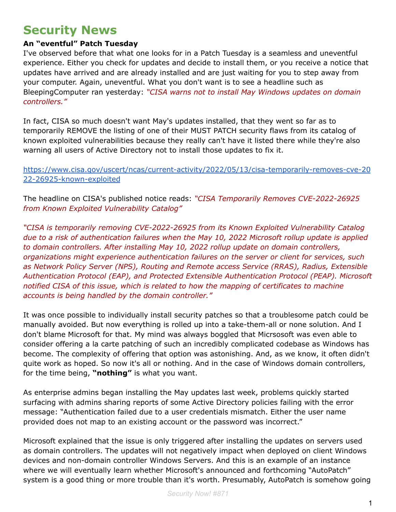### **Security News**

#### **An "eventful" Patch Tuesday**

I've observed before that what one looks for in a Patch Tuesday is a seamless and uneventful experience. Either you check for updates and decide to install them, or you receive a notice that updates have arrived and are already installed and are just waiting for you to step away from your computer. Again, uneventful. What you don't want is to see a headline such as BleepingComputer ran yesterday: *"CISA warns not to install May Windows updates on domain controllers."*

In fact, CISA so much doesn't want May's updates installed, that they went so far as to temporarily REMOVE the listing of one of their MUST PATCH security flaws from its catalog of known exploited vulnerabilities because they really can't have it listed there while they're also warning all users of Active Directory not to install those updates to fix it.

[https://www.cisa.gov/uscert/ncas/current-activity/2022/05/13/cisa-temporarily-removes-cve-20](https://www.cisa.gov/uscert/ncas/current-activity/2022/05/13/cisa-temporarily-removes-cve-2022-26925-known-exploited) [22-26925-known-exploited](https://www.cisa.gov/uscert/ncas/current-activity/2022/05/13/cisa-temporarily-removes-cve-2022-26925-known-exploited)

The headline on CISA's published notice reads: *"CISA Temporarily Removes CVE-2022-26925 from Known Exploited Vulnerability Catalog"*

*"CISA is temporarily removing CVE-2022-26925 from its Known Exploited Vulnerability Catalog due to a risk of authentication failures when the May 10, 2022 Microsoft rollup update is applied to domain controllers. After installing May 10, 2022 rollup update on domain controllers, organizations might experience authentication failures on the server or client for services, such as Network Policy Server (NPS), Routing and Remote access Service (RRAS), Radius, Extensible Authentication Protocol (EAP), and Protected Extensible Authentication Protocol (PEAP). Microsoft notified CISA of this issue, which is related to how the mapping of certificates to machine accounts is being handled by the domain controller."*

It was once possible to individually install security patches so that a troublesome patch could be manually avoided. But now everything is rolled up into a take-them-all or none solution. And I don't blame Microsoft for that. My mind was always boggled that Micrsosoft was even able to consider offering a la carte patching of such an incredibly complicated codebase as Windows has become. The complexity of offering that option was astonishing. And, as we know, it often didn't quite work as hoped. So now it's all or nothing. And in the case of Windows domain controllers, for the time being, **"nothing"** is what you want.

As enterprise admins began installing the May updates last week, problems quickly started surfacing with admins sharing reports of some Active Directory policies failing with the error message: "Authentication failed due to a user credentials mismatch. Either the user name provided does not map to an existing account or the password was incorrect."

Microsoft explained that the issue is only triggered after installing the updates on servers used as domain controllers. The updates will not negatively impact when deployed on client Windows devices and non-domain controller Windows Servers. And this is an example of an instance where we will eventually learn whether Microsoft's announced and forthcoming "AutoPatch" system is a good thing or more trouble than it's worth. Presumably, AutoPatch is somehow going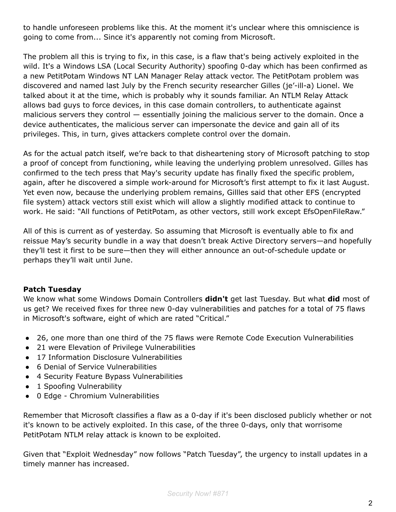to handle unforeseen problems like this. At the moment it's unclear where this omniscience is going to come from... Since it's apparently not coming from Microsoft.

The problem all this is trying to fix, in this case, is a flaw that's being actively exploited in the wild. It's a Windows LSA (Local Security Authority) spoofing 0-day which has been confirmed as a new PetitPotam Windows NT LAN Manager Relay attack vector. The PetitPotam problem was discovered and named last July by the French security researcher Gilles (je'-ill-a) Lionel. We talked about it at the time, which is probably why it sounds familiar. An NTLM Relay Attack allows bad guys to force devices, in this case domain controllers, to authenticate against malicious servers they control — essentially joining the malicious server to the domain. Once a device authenticates, the malicious server can impersonate the device and gain all of its privileges. This, in turn, gives attackers complete control over the domain.

As for the actual patch itself, we're back to that disheartening story of Microsoft patching to stop a proof of concept from functioning, while leaving the underlying problem unresolved. Gilles has confirmed to the tech press that May's security update has finally fixed the specific problem, again, after he discovered a simple work-around for Microsoft's first attempt to fix it last August. Yet even now, because the underlying problem remains, Gillles said that other EFS (encrypted file system) attack vectors still exist which will allow a slightly modified attack to continue to work. He said: "All functions of PetitPotam, as other vectors, still work except EfsOpenFileRaw."

All of this is current as of yesterday. So assuming that Microsoft is eventually able to fix and reissue May's security bundle in a way that doesn't break Active Directory servers—and hopefully they'll test it first to be sure—then they will either announce an out-of-schedule update or perhaps they'll wait until June.

#### **Patch Tuesday**

We know what some Windows Domain Controllers **didn't** get last Tuesday. But what **did** most of us get? We received fixes for three new 0-day vulnerabilities and patches for a total of 75 flaws in Microsoft's software, eight of which are rated "Critical."

- 26, one more than one third of the 75 flaws were Remote Code Execution Vulnerabilities
- 21 were Elevation of Privilege Vulnerabilities
- 17 Information Disclosure Vulnerabilities
- 6 Denial of Service Vulnerabilities
- 4 Security Feature Bypass Vulnerabilities
- 1 Spoofing Vulnerability
- 0 Edge Chromium Vulnerabilities

Remember that Microsoft classifies a flaw as a 0-day if it's been disclosed publicly whether or not it's known to be actively exploited. In this case, of the three 0-days, only that worrisome PetitPotam NTLM relay attack is known to be exploited.

Given that "Exploit Wednesday" now follows "Patch Tuesday", the urgency to install updates in a timely manner has increased.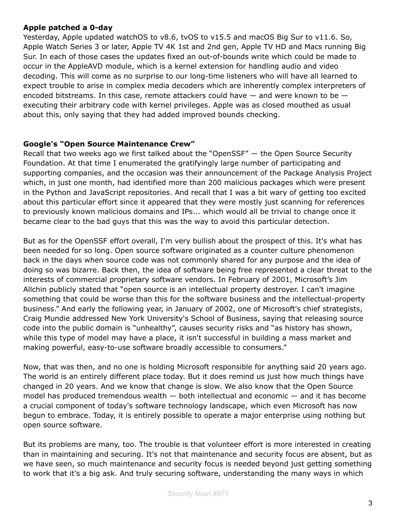#### **Apple patched a 0-day**

Yesterday, Apple updated watchOS to v8.6, tvOS to v15.5 and macOS Big Sur to v11.6. So, Apple Watch Series 3 or later, Apple TV 4K 1st and 2nd gen, Apple TV HD and Macs running Big Sur. In each of those cases the updates fixed an out-of-bounds write which could be made to occur in the AppleAVD module, which is a kernel extension for handling audio and video decoding. This will come as no surprise to our long-time listeners who will have all learned to expect trouble to arise in complex media decoders which are inherently complex interpreters of encoded bitstreams. In this case, remote attackers could have  $-$  and were known to be  $$ executing their arbitrary code with kernel privileges. Apple was as closed mouthed as usual about this, only saying that they had added improved bounds checking.

#### **Google's "Open Source Maintenance Crew"**

Recall that two weeks ago we first talked about the "OpenSSF" — the Open Source Security Foundation. At that time I enumerated the gratifyingly large number of participating and supporting companies, and the occasion was their announcement of the Package Analysis Project which, in just one month, had identified more than 200 malicious packages which were present in the Python and JavaScript repositories. And recall that I was a bit wary of getting too excited about this particular effort since it appeared that they were mostly just scanning for references to previously known malicious domains and IPs... which would all be trivial to change once it became clear to the bad guys that this was the way to avoid this particular detection.

But as for the OpenSSF effort overall, I'm very bullish about the prospect of this. It's what has been needed for so long. Open source software originated as a counter culture phenomenon back in the days when source code was not commonly shared for any purpose and the idea of doing so was bizarre. Back then, the idea of software being free represented a clear threat to the interests of commercial proprietary software vendors. In February of 2001, Microsoft's Jim Allchin publicly stated that "open source is an intellectual property destroyer. I can't imagine something that could be worse than this for the software business and the intellectual-property business." And early the following year, in January of 2002, one of Microsoft's chief strategists, Craig Mundie addressed New York University's School of Business, saying that releasing source code into the public domain is "unhealthy", causes security risks and "as history has shown, while this type of model may have a place, it isn't successful in building a mass market and making powerful, easy-to-use software broadly accessible to consumers."

Now, that was then, and no one is holding Microsoft responsible for anything said 20 years ago. The world is an entirely different place today. But it does remind us just how much things have changed in 20 years. And we know that change is slow. We also know that the Open Source model has produced tremendous wealth  $-$  both intellectual and economic  $-$  and it has become a crucial component of today's software technology landscape, which even Microsoft has now begun to embrace. Today, it is entirely possible to operate a major enterprise using nothing but open source software.

But its problems are many, too. The trouble is that volunteer effort is more interested in creating than in maintaining and securing. It's not that maintenance and security focus are absent, but as we have seen, so much maintenance and security focus is needed beyond just getting something to work that it's a big ask. And truly securing software, understanding the many ways in which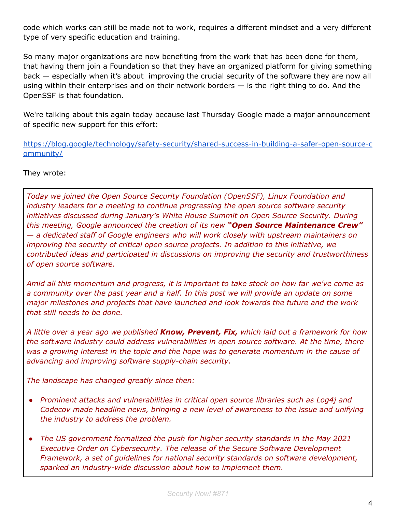code which works can still be made not to work, requires a different mindset and a very different type of very specific education and training.

So many major organizations are now benefiting from the work that has been done for them, that having them join a Foundation so that they have an organized platform for giving something back — especially when it's about improving the crucial security of the software they are now all using within their enterprises and on their network borders  $-$  is the right thing to do. And the OpenSSF is that foundation.

We're talking about this again today because last Thursday Google made a major announcement of specific new support for this effort:

[https://blog.google/technology/safety-security/shared-success-in-building-a-safer-open-source-c](https://blog.google/technology/safety-security/shared-success-in-building-a-safer-open-source-community/) [ommunity/](https://blog.google/technology/safety-security/shared-success-in-building-a-safer-open-source-community/)

They wrote:

*Today we joined the Open Source Security Foundation (OpenSSF), Linux Foundation and industry leaders for a meeting to continue progressing the open source software security initiatives discussed during January's White House Summit on Open Source Security. During this meeting, Google announced the creation of its new "Open Source Maintenance Crew" — a dedicated staff of Google engineers who will work closely with upstream maintainers on improving the security of critical open source projects. In addition to this initiative, we contributed ideas and participated in discussions on improving the security and trustworthiness of open source software.*

*Amid all this momentum and progress, it is important to take stock on how far we've come as a community over the past year and a half. In this post we will provide an update on some major milestones and projects that have launched and look towards the future and the work that still needs to be done.*

*A little over a year ago we published Know, Prevent, Fix, which laid out a framework for how the software industry could address vulnerabilities in open source software. At the time, there was a growing interest in the topic and the hope was to generate momentum in the cause of advancing and improving software supply-chain security.*

*The landscape has changed greatly since then:*

- *● Prominent attacks and vulnerabilities in critical open source libraries such as Log4j and Codecov made headline news, bringing a new level of awareness to the issue and unifying the industry to address the problem.*
- *● The US government formalized the push for higher security standards in the May 2021 Executive Order on Cybersecurity. The release of the Secure Software Development Framework, a set of guidelines for national security standards on software development, sparked an industry-wide discussion about how to implement them.*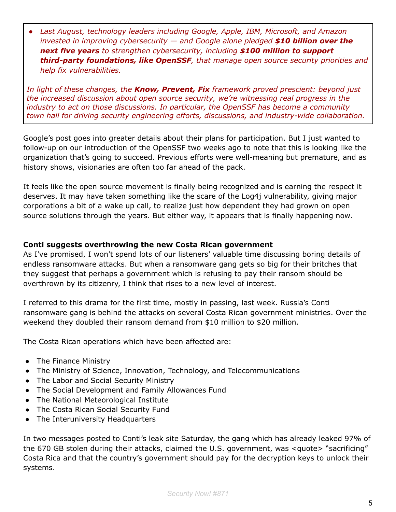*● Last August, technology leaders including Google, Apple, IBM, Microsoft, and Amazon invested in improving cybersecurity — and Google alone pledged \$10 billion over the next five years to strengthen cybersecurity, including \$100 million to support third-party foundations, like OpenSSF, that manage open source security priorities and help fix vulnerabilities.*

*In light of these changes, the Know, Prevent, Fix framework proved prescient: beyond just the increased discussion about open source security, we're witnessing real progress in the industry to act on those discussions. In particular, the OpenSSF has become a community town hall for driving security engineering efforts, discussions, and industry-wide collaboration.*

Google's post goes into greater details about their plans for participation. But I just wanted to follow-up on our introduction of the OpenSSF two weeks ago to note that this is looking like the organization that's going to succeed. Previous efforts were well-meaning but premature, and as history shows, visionaries are often too far ahead of the pack.

It feels like the open source movement is finally being recognized and is earning the respect it deserves. It may have taken something like the scare of the Log4j vulnerability, giving major corporations a bit of a wake up call, to realize just how dependent they had grown on open source solutions through the years. But either way, it appears that is finally happening now.

#### **Conti suggests overthrowing the new Costa Rican government**

As I've promised, I won't spend lots of our listeners' valuable time discussing boring details of endless ransomware attacks. But when a ransomware gang gets so big for their britches that they suggest that perhaps a government which is refusing to pay their ransom should be overthrown by its citizenry, I think that rises to a new level of interest.

I referred to this drama for the first time, mostly in passing, last week. Russia's Conti ransomware gang is behind the attacks on several Costa Rican government ministries. Over the weekend they doubled their ransom demand from \$10 million to \$20 million.

The Costa Rican operations which have been affected are:

- The Finance Ministry
- The Ministry of Science, Innovation, Technology, and Telecommunications
- The Labor and Social Security Ministry
- The Social Development and Family Allowances Fund
- The National Meteorological Institute
- The Costa Rican Social Security Fund
- The Interuniversity Headquarters

In two messages posted to Conti's leak site Saturday, the gang which has already leaked 97% of the 670 GB stolen during their attacks, claimed the U.S. government, was <quote> "sacrificing" Costa Rica and that the country's government should pay for the decryption keys to unlock their systems.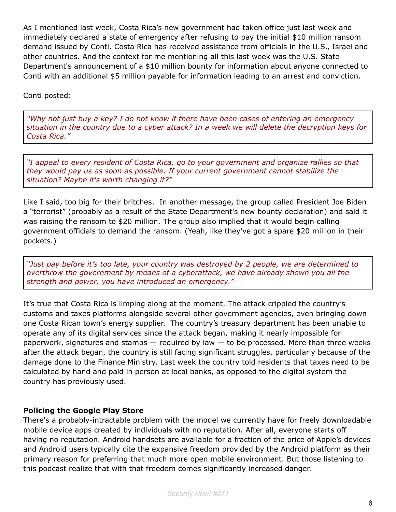As I mentioned last week, Costa Rica's new government had taken office just last week and immediately declared a state of emergency after refusing to pay the initial \$10 million ransom demand issued by Conti. Costa Rica has received assistance from officials in the U.S., Israel and other countries. And the context for me mentioning all this last week was the U.S. State Department's announcement of a \$10 million bounty for information about anyone connected to Conti with an additional \$5 million payable for information leading to an arrest and conviction.

Conti posted:

*"Why not just buy a key? I do not know if there have been cases of entering an emergency* situation in the country due to a cyber attack? In a week we will delete the decryption keys for *Costa Rica."*

*"I appeal to every resident of Costa Rica, go to your government and organize rallies so that they would pay us as soon as possible. If your current government cannot stabilize the situation? Maybe it's worth changing it?"*

Like I said, too big for their britches. In another message, the group called President Joe Biden a "terrorist" (probably as a result of the State Department's new bounty declaration) and said it was raising the ransom to \$20 million. The group also implied that it would begin calling government officials to demand the ransom. (Yeah, like they've got a spare \$20 million in their pockets.)

*"Just pay before it's too late, your country was destroyed by 2 people, we are determined to overthrow the government by means of a cyberattack, we have already shown you all the strength and power, you have introduced an emergency."*

It's true that Costa Rica is limping along at the moment. The attack crippled the country's customs and taxes platforms alongside several other government agencies, even bringing down one Costa Rican town's energy supplier. The country's treasury department has been unable to operate any of its digital services since the attack began, making it nearly impossible for paperwork, signatures and stamps  $-$  required by law  $-$  to be processed. More than three weeks after the attack began, the country is still facing significant struggles, particularly because of the damage done to the Finance Ministry. Last week the country told residents that taxes need to be calculated by hand and paid in person at local banks, as opposed to the digital system the country has previously used.

#### **Policing the Google Play Store**

There's a probably-intractable problem with the model we currently have for freely downloadable mobile device apps created by individuals with no reputation. After all, everyone starts off having no reputation. Android handsets are available for a fraction of the price of Apple's devices and Android users typically cite the expansive freedom provided by the Android platform as their primary reason for preferring that much more open mobile environment. But those listening to this podcast realize that with that freedom comes significantly increased danger.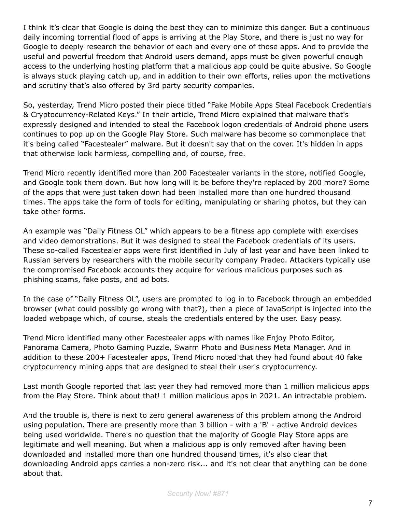I think it's clear that Google is doing the best they can to minimize this danger. But a continuous daily incoming torrential flood of apps is arriving at the Play Store, and there is just no way for Google to deeply research the behavior of each and every one of those apps. And to provide the useful and powerful freedom that Android users demand, apps must be given powerful enough access to the underlying hosting platform that a malicious app could be quite abusive. So Google is always stuck playing catch up, and in addition to their own efforts, relies upon the motivations and scrutiny that's also offered by 3rd party security companies.

So, yesterday, Trend Micro posted their piece titled "Fake Mobile Apps Steal Facebook Credentials & Cryptocurrency-Related Keys." In their article, Trend Micro explained that malware that's expressly designed and intended to steal the Facebook logon credentials of Android phone users continues to pop up on the Google Play Store. Such malware has become so commonplace that it's being called "Facestealer" malware. But it doesn't say that on the cover. It's hidden in apps that otherwise look harmless, compelling and, of course, free.

Trend Micro recently identified more than 200 Facestealer variants in the store, notified Google, and Google took them down. But how long will it be before they're replaced by 200 more? Some of the apps that were just taken down had been installed more than one hundred thousand times. The apps take the form of tools for editing, manipulating or sharing photos, but they can take other forms.

An example was "Daily Fitness OL" which appears to be a fitness app complete with exercises and video demonstrations. But it was designed to steal the Facebook credentials of its users. These so-called Facestealer apps were first identified in July of last year and have been linked to Russian servers by researchers with the mobile security company Pradeo. Attackers typically use the compromised Facebook accounts they acquire for various malicious purposes such as phishing scams, fake posts, and ad bots.

In the case of "Daily Fitness OL", users are prompted to log in to Facebook through an embedded browser (what could possibly go wrong with that?), then a piece of JavaScript is injected into the loaded webpage which, of course, steals the credentials entered by the user. Easy peasy.

Trend Micro identified many other Facestealer apps with names like Enjoy Photo Editor, Panorama Camera, Photo Gaming Puzzle, Swarm Photo and Business Meta Manager. And in addition to these 200+ Facestealer apps, Trend Micro noted that they had found about 40 fake cryptocurrency mining apps that are designed to steal their user's cryptocurrency.

Last month Google reported that last year they had removed more than 1 million malicious apps from the Play Store. Think about that! 1 million malicious apps in 2021. An intractable problem.

And the trouble is, there is next to zero general awareness of this problem among the Android using population. There are presently more than 3 billion - with a 'B' - active Android devices being used worldwide. There's no question that the majority of Google Play Store apps are legitimate and well meaning. But when a malicious app is only removed after having been downloaded and installed more than one hundred thousand times, it's also clear that downloading Android apps carries a non-zero risk... and it's not clear that anything can be done about that.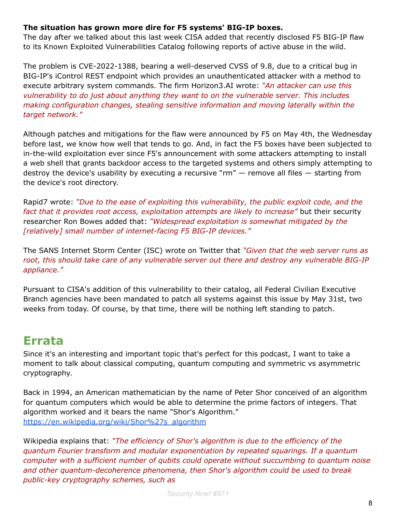#### **The situation has grown more dire for F5 systems' BIG-IP boxes.**

The day after we talked about this last week CISA added that recently disclosed F5 BIG-IP flaw to its Known Exploited Vulnerabilities Catalog following reports of active abuse in the wild.

The problem is CVE-2022-1388, bearing a well-deserved CVSS of 9.8, due to a critical bug in BIG-IP's iControl REST endpoint which provides an unauthenticated attacker with a method to execute arbitrary system commands. The firm Horizon3.AI wrote: *"An attacker can use this vulnerability to do just about anything they want to on the vulnerable server. This includes making configuration changes, stealing sensitive information and moving laterally within the target network."*

Although patches and mitigations for the flaw were announced by F5 on May 4th, the Wednesday before last, we know how well that tends to go. And, in fact the F5 boxes have been subjected to in-the-wild exploitation ever since F5's announcement with some attackers attempting to install a web shell that grants backdoor access to the targeted systems and others simply attempting to destroy the device's usability by executing a recursive " $rm''$  – remove all files – starting from the device's root directory.

Rapid7 wrote: *"Due to the ease of exploiting this vulnerability, the public exploit code, and the fact that it provides root access, exploitation attempts are likely to increase"* but their security researcher Ron Bowes added that: *"Widespread exploitation is somewhat mitigated by the [relatively] small number of internet-facing F5 BIG-IP devices."*

The SANS Internet Storm Center (ISC) wrote on Twitter that *"Given that the web server runs as root, this should take care of any vulnerable server out there and destroy any vulnerable BIG-IP appliance."*

Pursuant to CISA's addition of this vulnerability to their catalog, all Federal Civilian Executive Branch agencies have been mandated to patch all systems against this issue by May 31st, two weeks from today. Of course, by that time, there will be nothing left standing to patch.

### **Errata**

Since it's an interesting and important topic that's perfect for this podcast, I want to take a moment to talk about classical computing, quantum computing and symmetric vs asymmetric cryptography.

Back in 1994, an American mathematician by the name of Peter Shor conceived of an algorithm for quantum computers which would be able to determine the prime factors of integers. That algorithm worked and it bears the name "Shor's Algorithm." [https://en.wikipedia.org/wiki/Shor%27s\\_algorithm](https://en.wikipedia.org/wiki/Shor%27s_algorithm)

Wikipedia explains that: *"The efficiency of Shor's algorithm is due to the efficiency of the quantum Fourier transform and modular exponentiation by repeated squarings. If a quantum computer with a sufficient number of qubits could operate without succumbing to quantum noise and other quantum-decoherence phenomena, then Shor's algorithm could be used to break public-key cryptography schemes, such as*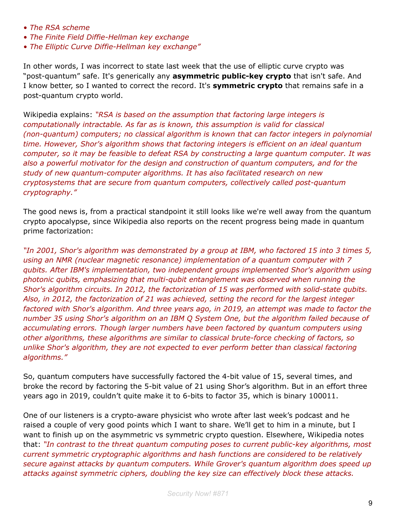- *• The RSA scheme*
- *• The Finite Field Diffie-Hellman key exchange*
- *• The Elliptic Curve Diffie-Hellman key exchange"*

In other words, I was incorrect to state last week that the use of elliptic curve crypto was "post-quantum" safe. It's generically any **asymmetric public-key crypto** that isn't safe. And I know better, so I wanted to correct the record. It's **symmetric crypto** that remains safe in a post-quantum crypto world.

Wikipedia explains: *"RSA is based on the assumption that factoring large integers is computationally intractable. As far as is known, this assumption is valid for classical (non-quantum) computers; no classical algorithm is known that can factor integers in polynomial time. However, Shor's algorithm shows that factoring integers is efficient on an ideal quantum computer, so it may be feasible to defeat RSA by constructing a large quantum computer. It was also a powerful motivator for the design and construction of quantum computers, and for the study of new quantum-computer algorithms. It has also facilitated research on new cryptosystems that are secure from quantum computers, collectively called post-quantum cryptography."*

The good news is, from a practical standpoint it still looks like we're well away from the quantum crypto apocalypse, since Wikipedia also reports on the recent progress being made in quantum prime factorization:

*"In 2001, Shor's algorithm was demonstrated by a group at IBM, who factored 15 into 3 times 5, using an NMR (nuclear magnetic resonance) implementation of a quantum computer with 7 qubits. After IBM's implementation, two independent groups implemented Shor's algorithm using photonic qubits, emphasizing that multi-qubit entanglement was observed when running the Shor's algorithm circuits. In 2012, the factorization of 15 was performed with solid-state qubits. Also, in 2012, the factorization of 21 was achieved, setting the record for the largest integer factored with Shor's algorithm. And three years ago, in 2019, an attempt was made to factor the number 35 using Shor's algorithm on an IBM Q System One, but the algorithm failed because of accumulating errors. Though larger numbers have been factored by quantum computers using other algorithms, these algorithms are similar to classical brute-force checking of factors, so unlike Shor's algorithm, they are not expected to ever perform better than classical factoring algorithms."*

So, quantum computers have successfully factored the 4-bit value of 15, several times, and broke the record by factoring the 5-bit value of 21 using Shor's algorithm. But in an effort three years ago in 2019, couldn't quite make it to 6-bits to factor 35, which is binary 100011.

One of our listeners is a crypto-aware physicist who wrote after last week's podcast and he raised a couple of very good points which I want to share. We'll get to him in a minute, but I want to finish up on the asymmetric vs symmetric crypto question. Elsewhere, Wikipedia notes that: *"In contrast to the threat quantum computing poses to current public-key algorithms, most current symmetric cryptographic algorithms and hash functions are considered to be relatively secure against attacks by quantum computers. While Grover's quantum algorithm does speed up attacks against symmetric ciphers, doubling the key size can effectively block these attacks.*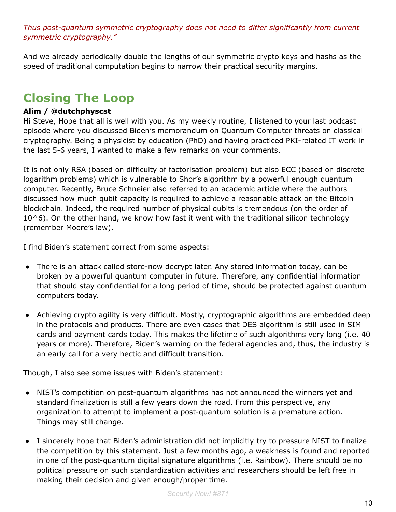*Thus post-quantum symmetric cryptography does not need to differ significantly from current symmetric cryptography."*

And we already periodically double the lengths of our symmetric crypto keys and hashs as the speed of traditional computation begins to narrow their practical security margins.

## **Closing The Loop**

#### **Alim / @dutchphyscst**

Hi Steve, Hope that all is well with you. As my weekly routine, I listened to your last podcast episode where you discussed Biden's memorandum on Quantum Computer threats on classical cryptography. Being a physicist by education (PhD) and having practiced PKI-related IT work in the last 5-6 years, I wanted to make a few remarks on your comments.

It is not only RSA (based on difficulty of factorisation problem) but also ECC (based on discrete logarithm problems) which is vulnerable to Shor's algorithm by a powerful enough quantum computer. Recently, Bruce Schneier also referred to an academic article where the authors discussed how much qubit capacity is required to achieve a reasonable attack on the Bitcoin blockchain. Indeed, the required number of physical qubits is tremendous (on the order of 10^6). On the other hand, we know how fast it went with the traditional silicon technology (remember Moore's law).

I find Biden's statement correct from some aspects:

- There is an attack called store-now decrypt later. Any stored information today, can be broken by a powerful quantum computer in future. Therefore, any confidential information that should stay confidential for a long period of time, should be protected against quantum computers today.
- Achieving crypto agility is very difficult. Mostly, cryptographic algorithms are embedded deep in the protocols and products. There are even cases that DES algorithm is still used in SIM cards and payment cards today. This makes the lifetime of such algorithms very long (i.e. 40 years or more). Therefore, Biden's warning on the federal agencies and, thus, the industry is an early call for a very hectic and difficult transition.

Though, I also see some issues with Biden's statement:

- NIST's competition on post-quantum algorithms has not announced the winners yet and standard finalization is still a few years down the road. From this perspective, any organization to attempt to implement a post-quantum solution is a premature action. Things may still change.
- I sincerely hope that Biden's administration did not implicitly try to pressure NIST to finalize the competition by this statement. Just a few months ago, a weakness is found and reported in one of the post-quantum digital signature algorithms (i.e. Rainbow). There should be no political pressure on such standardization activities and researchers should be left free in making their decision and given enough/proper time.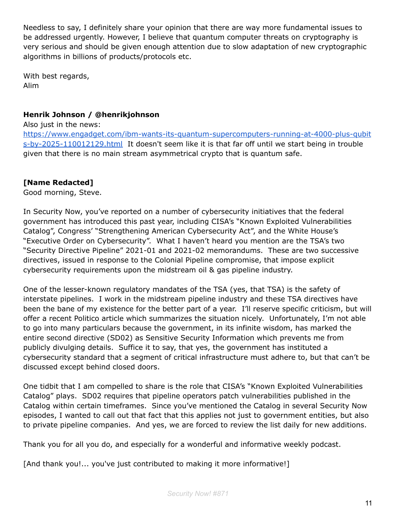Needless to say, I definitely share your opinion that there are way more fundamental issues to be addressed urgently. However, I believe that quantum computer threats on cryptography is very serious and should be given enough attention due to slow adaptation of new cryptographic algorithms in billions of products/protocols etc.

With best regards, Alim

#### **Henrik Johnson / @henrikjohnson**

Also just in the news:

[https://www.engadget.com/ibm-wants-its-quantum-supercomputers-running-at-4000-plus-qubit](https://www.engadget.com/ibm-wants-its-quantum-supercomputers-running-at-4000-plus-qubits-by-2025-110012129.html) [s-by-2025-110012129.html](https://www.engadget.com/ibm-wants-its-quantum-supercomputers-running-at-4000-plus-qubits-by-2025-110012129.html) It doesn't seem like it is that far off until we start being in trouble given that there is no main stream asymmetrical crypto that is quantum safe.

#### **[Name Redacted]**

Good morning, Steve.

In Security Now, you've reported on a number of cybersecurity initiatives that the federal government has introduced this past year, including CISA's "Known Exploited Vulnerabilities Catalog", Congress' "Strengthening American Cybersecurity Act", and the White House's "Executive Order on Cybersecurity". What I haven't heard you mention are the TSA's two "Security Directive Pipeline" 2021-01 and 2021-02 memorandums. These are two successive directives, issued in response to the Colonial Pipeline compromise, that impose explicit cybersecurity requirements upon the midstream oil & gas pipeline industry.

One of the lesser-known regulatory mandates of the TSA (yes, that TSA) is the safety of interstate pipelines. I work in the midstream pipeline industry and these TSA directives have been the bane of my existence for the better part of a year. I'll reserve specific criticism, but will offer a recent Politico article which summarizes the situation nicely. Unfortunately, I'm not able to go into many particulars because the government, in its infinite wisdom, has marked the entire second directive (SD02) as Sensitive Security Information which prevents me from publicly divulging details. Suffice it to say, that yes, the government has instituted a cybersecurity standard that a segment of critical infrastructure must adhere to, but that can't be discussed except behind closed doors.

One tidbit that I am compelled to share is the role that CISA's "Known Exploited Vulnerabilities Catalog" plays. SD02 requires that pipeline operators patch vulnerabilities published in the Catalog within certain timeframes. Since you've mentioned the Catalog in several Security Now episodes, I wanted to call out that fact that this applies not just to government entities, but also to private pipeline companies. And yes, we are forced to review the list daily for new additions.

Thank you for all you do, and especially for a wonderful and informative weekly podcast.

[And thank you!... you've just contributed to making it more informative!]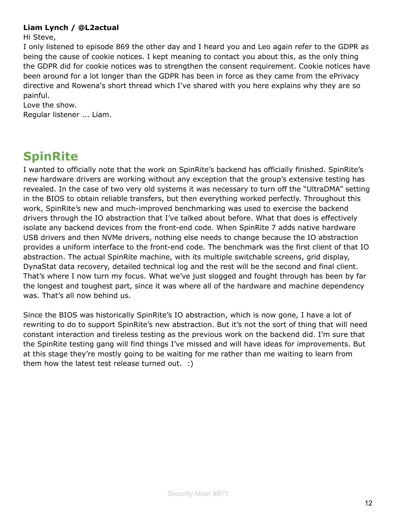#### **Liam Lynch / @L2actual**

Hi Steve,

I only listened to episode 869 the other day and I heard you and Leo again refer to the GDPR as being the cause of cookie notices. I kept meaning to contact you about this, as the only thing the GDPR did for cookie notices was to strengthen the consent requirement. Cookie notices have been around for a lot longer than the GDPR has been in force as they came from the ePrivacy directive and Rowena's short thread which I've shared with you here explains why they are so painful.

Love the show.

Regular listener ... Liam.

## **SpinRite**

I wanted to officially note that the work on SpinRite's backend has officially finished. SpinRite's new hardware drivers are working without any exception that the group's extensive testing has revealed. In the case of two very old systems it was necessary to turn off the "UltraDMA" setting in the BIOS to obtain reliable transfers, but then everything worked perfectly. Throughout this work, SpinRite's new and much-improved benchmarking was used to exercise the backend drivers through the IO abstraction that I've talked about before. What that does is effectively isolate any backend devices from the front-end code. When SpinRite 7 adds native hardware USB drivers and then NVMe drivers, nothing else needs to change because the IO abstraction provides a uniform interface to the front-end code. The benchmark was the first client of that IO abstraction. The actual SpinRite machine, with its multiple switchable screens, grid display, DynaStat data recovery, detailed technical log and the rest will be the second and final client. That's where I now turn my focus. What we've just slogged and fought through has been by far the longest and toughest part, since it was where all of the hardware and machine dependency was. That's all now behind us.

Since the BIOS was historically SpinRite's IO abstraction, which is now gone, I have a lot of rewriting to do to support SpinRite's new abstraction. But it's not the sort of thing that will need constant interaction and tireless testing as the previous work on the backend did. I'm sure that the SpinRite testing gang will find things I've missed and will have ideas for improvements. But at this stage they're mostly going to be waiting for me rather than me waiting to learn from them how the latest test release turned out. :)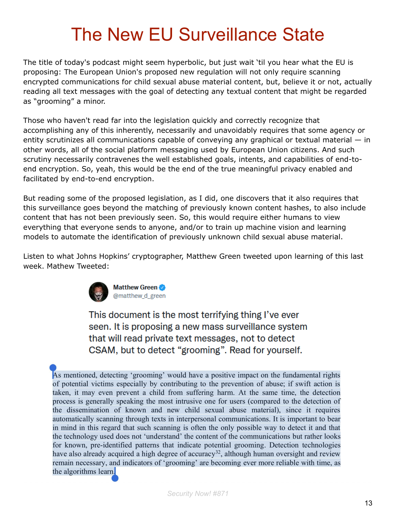# The New EU Surveillance State

The title of today's podcast might seem hyperbolic, but just wait 'til you hear what the EU is proposing: The European Union's proposed new regulation will not only require scanning encrypted communications for child sexual abuse material content, but, believe it or not, actually reading all text messages with the goal of detecting any textual content that might be regarded as "grooming" a minor.

Those who haven't read far into the legislation quickly and correctly recognize that accomplishing any of this inherently, necessarily and unavoidably requires that some agency or entity scrutinizes all communications capable of conveying any graphical or textual material — in other words, all of the social platform messaging used by European Union citizens. And such scrutiny necessarily contravenes the well established goals, intents, and capabilities of end-toend encryption. So, yeah, this would be the end of the true meaningful privacy enabled and facilitated by end-to-end encryption.

But reading some of the proposed legislation, as I did, one discovers that it also requires that this surveillance goes beyond the matching of previously known content hashes, to also include content that has not been previously seen. So, this would require either humans to view everything that everyone sends to anyone, and/or to train up machine vision and learning models to automate the identification of previously unknown child sexual abuse material.

Listen to what Johns Hopkins' cryptographer, Matthew Green tweeted upon learning of this last week. Mathew Tweeted:



Matthew Green @matthew\_d\_green

This document is the most terrifying thing I've ever seen. It is proposing a new mass surveillance system that will read private text messages, not to detect CSAM, but to detect "grooming". Read for yourself.

As mentioned, detecting 'grooming' would have a positive impact on the fundamental rights of potential victims especially by contributing to the prevention of abuse; if swift action is taken, it may even prevent a child from suffering harm. At the same time, the detection process is generally speaking the most intrusive one for users (compared to the detection of the dissemination of known and new child sexual abuse material), since it requires automatically scanning through texts in interpersonal communications. It is important to bear in mind in this regard that such scanning is often the only possible way to detect it and that the technology used does not 'understand' the content of the communications but rather looks for known, pre-identified patterns that indicate potential grooming. Detection technologies have also already acquired a high degree of accuracy<sup>32</sup>, although human oversight and review remain necessary, and indicators of 'grooming' are becoming ever more reliable with time, as the algorithms learn.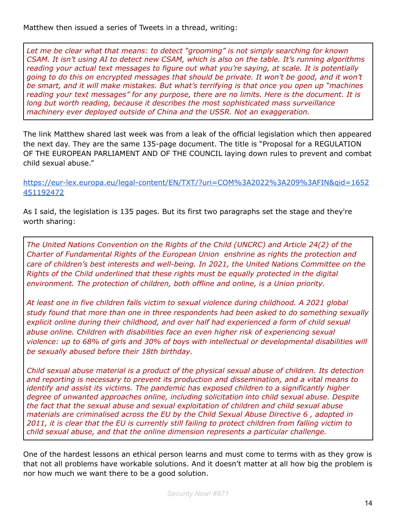Matthew then issued a series of Tweets in a thread, writing:

*Let me be clear what that means: to detect "grooming" is not simply searching for known CSAM. It isn't using AI to detect new CSAM, which is also on the table. It's running algorithms reading your actual text messages to figure out what you're saying, at scale. It is potentially going to do this on encrypted messages that should be private. It won't be good, and it won't be smart, and it will make mistakes. But what's terrifying is that once you open up "machines reading your text messages" for any purpose, there are no limits. Here is the document. It is long but worth reading, because it describes the most sophisticated mass surveillance machinery ever deployed outside of China and the USSR. Not an exaggeration.*

The link Matthew shared last week was from a leak of the official legislation which then appeared the next day. They are the same 135-page document. The title is "Proposal for a REGULATION OF THE EUROPEAN PARLIAMENT AND OF THE COUNCIL laying down rules to prevent and combat child sexual abuse."

[https://eur-lex.europa.eu/legal-content/EN/TXT/?uri=COM%3A2022%3A209%3AFIN&qid=1652](https://eur-lex.europa.eu/legal-content/EN/TXT/?uri=COM%3A2022%3A209%3AFIN&qid=1652451192472) [451192472](https://eur-lex.europa.eu/legal-content/EN/TXT/?uri=COM%3A2022%3A209%3AFIN&qid=1652451192472)

As I said, the legislation is 135 pages. But its first two paragraphs set the stage and they're worth sharing:

*The United Nations Convention on the Rights of the Child (UNCRC) and Article 24(2) of the Charter of Fundamental Rights of the European Union enshrine as rights the protection and care of children's best interests and well-being. In 2021, the United Nations Committee on the Rights of the Child underlined that these rights must be equally protected in the digital environment. The protection of children, both offline and online, is a Union priority.*

*At least one in five children falls victim to sexual violence during childhood. A 2021 global study found that more than one in three respondents had been asked to do something sexually explicit online during their childhood, and over half had experienced a form of child sexual abuse online. Children with disabilities face an even higher risk of experiencing sexual violence: up to 68% of girls and 30% of boys with intellectual or developmental disabilities will be sexually abused before their 18th birthday.*

*Child sexual abuse material is a product of the physical sexual abuse of children. Its detection and reporting is necessary to prevent its production and dissemination, and a vital means to identify and assist its victims. The pandemic has exposed children to a significantly higher degree of unwanted approaches online, including solicitation into child sexual abuse. Despite the fact that the sexual abuse and sexual exploitation of children and child sexual abuse materials are criminalised across the EU by the Child Sexual Abuse Directive 6 , adopted in* 2011, it is clear that the EU is currently still failing to protect children from falling victim to *child sexual abuse, and that the online dimension represents a particular challenge.*

One of the hardest lessons an ethical person learns and must come to terms with as they grow is that not all problems have workable solutions. And it doesn't matter at all how big the problem is nor how much we want there to be a good solution.